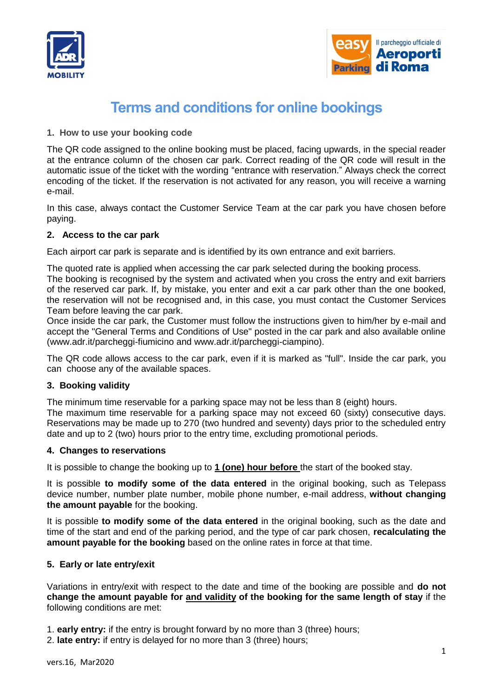



# **Terms and conditions for online bookings**

## **1. How to use your booking code**

The QR code assigned to the online booking must be placed, facing upwards, in the special reader at the entrance column of the chosen car park. Correct reading of the QR code will result in the automatic issue of the ticket with the wording "entrance with reservation." Always check the correct encoding of the ticket. If the reservation is not activated for any reason, you will receive a warning e-mail.

In this case, always contact the Customer Service Team at the car park you have chosen before paying.

# **2. Access to the car park**

Each airport car park is separate and is identified by its own entrance and exit barriers.

The quoted rate is applied when accessing the car park selected during the booking process.

The booking is recognised by the system and activated when you cross the entry and exit barriers of the reserved car park. If, by mistake, you enter and exit a car park other than the one booked, the reservation will not be recognised and, in this case, you must contact the Customer Services Team before leaving the car park.

Once inside the car park, the Customer must follow the instructions given to him/her by e-mail and accept the "General Terms and Conditions of Use" posted in the car park and also available online (www.adr.it/parcheggi-fiumicino and www.adr.it/parcheggi-ciampino).

The QR code allows access to the car park, even if it is marked as "full". Inside the car park, you can choose any of the available spaces.

## **3. Booking validity**

The minimum time reservable for a parking space may not be less than 8 (eight) hours.

The maximum time reservable for a parking space may not exceed 60 (sixty) consecutive days. Reservations may be made up to 270 (two hundred and seventy) days prior to the scheduled entry date and up to 2 (two) hours prior to the entry time, excluding promotional periods.

## **4. Changes to reservations**

It is possible to change the booking up to **1 (one) hour before** the start of the booked stay.

It is possible **to modify some of the data entered** in the original booking, such as Telepass device number, number plate number, mobile phone number, e-mail address, **without changing the amount payable** for the booking.

It is possible **to modify some of the data entered** in the original booking, such as the date and time of the start and end of the parking period, and the type of car park chosen, **recalculating the amount payable for the booking** based on the online rates in force at that time.

## **5. Early or late entry/exit**

Variations in entry/exit with respect to the date and time of the booking are possible and **do not change the amount payable for and validity of the booking for the same length of stay** if the following conditions are met:

1. **early entry:** if the entry is brought forward by no more than 3 (three) hours;

2. **late entry:** if entry is delayed for no more than 3 (three) hours;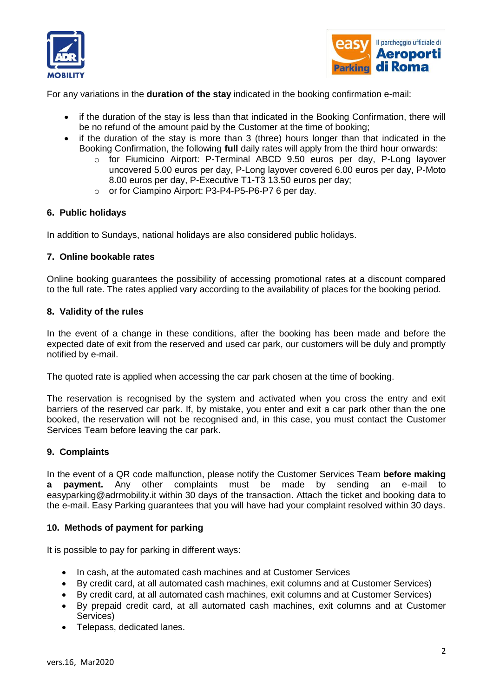



For any variations in the **duration of the stay** indicated in the booking confirmation e-mail:

- if the duration of the stay is less than that indicated in the Booking Confirmation, there will be no refund of the amount paid by the Customer at the time of booking;
- if the duration of the stay is more than 3 (three) hours longer than that indicated in the Booking Confirmation, the following **full** daily rates will apply from the third hour onwards:
	- o for Fiumicino Airport: P-Terminal ABCD 9.50 euros per day, P-Long layover uncovered 5.00 euros per day, P-Long layover covered 6.00 euros per day, P-Moto 8.00 euros per day, P-Executive T1-T3 13.50 euros per day;
	- o or for Ciampino Airport: P3-P4-P5-P6-P7 6 per day.

## **6. Public holidays**

In addition to Sundays, national holidays are also considered public holidays.

## **7. Online bookable rates**

Online booking guarantees the possibility of accessing promotional rates at a discount compared to the full rate. The rates applied vary according to the availability of places for the booking period.

## **8. Validity of the rules**

In the event of a change in these conditions, after the booking has been made and before the expected date of exit from the reserved and used car park, our customers will be duly and promptly notified by e-mail.

The quoted rate is applied when accessing the car park chosen at the time of booking.

The reservation is recognised by the system and activated when you cross the entry and exit barriers of the reserved car park. If, by mistake, you enter and exit a car park other than the one booked, the reservation will not be recognised and, in this case, you must contact the Customer Services Team before leaving the car park.

#### **9. Complaints**

In the event of a QR code malfunction, please notify the Customer Services Team **before making a payment.** Any other complaints must be made by sending an e-mail to easyparking@adrmobility.it within 30 days of the transaction. Attach the ticket and booking data to the e-mail. Easy Parking guarantees that you will have had your complaint resolved within 30 days.

#### **10. Methods of payment for parking**

It is possible to pay for parking in different ways:

- In cash, at the automated cash machines and at Customer Services
- By credit card, at all automated cash machines, exit columns and at Customer Services)
- By credit card, at all automated cash machines, exit columns and at Customer Services)
- By prepaid credit card, at all automated cash machines, exit columns and at Customer Services)
- Telepass, dedicated lanes.